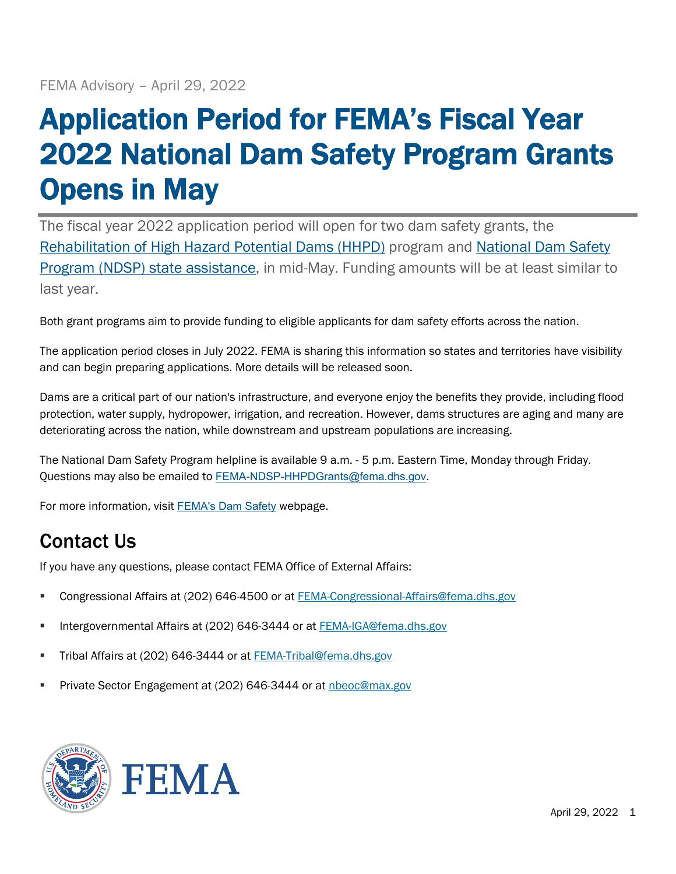## Application Period for FEMA's Fiscal Year 2022 National Dam Safety Program Grants Opens in May

The fiscal year 2022 application period will open for two dam safety grants, the [Rehabilitation of High Hazard Potential Dams \(HHPD\)](https://www.fema.gov/emergency-managers/risk-management/dam-safety/rehabilitation-high-hazard-potential-dams) program and [National Dam Safety](https://www.fema.gov/emergency-managers/risk-management/dam-safety/rehabilitation-high-hazard-potential-dams)  [Program \(NDSP\) state assistance,](https://www.fema.gov/emergency-managers/risk-management/dam-safety/rehabilitation-high-hazard-potential-dams) in mid-May. Funding amounts will be at least similar to last year.

Both grant programs aim to provide funding to eligible applicants for dam safety efforts across the nation.

The application period closes in July 2022. FEMA is sharing this information so states and territories have visibility and can begin preparing applications. More details will be released soon.

Dams are a critical part of our nation's infrastructure, and everyone enjoy the benefits they provide, including flood protection, water supply, hydropower, irrigation, and recreation. However, dams structures are aging and many are deteriorating across the nation, while downstream and upstream populations are increasing.

The National Dam Safety Program helpline is available 9 a.m. - 5 p.m. Eastern Time, Monday through Friday. Questions may also be emailed to [FEMA-NDSP-HHPDGrants@fema.dhs.gov](mailto:FEMA-NDSP-HHPDGrants@fema.dhs.gov).

For more information, visit [FEMA's Dam Safety](https://www.fema.gov/emergency-managers/risk-management/dam-safety) webpage.

## Contact Us

If you have any questions, please contact FEMA Office of External Affairs:

- Congressional Affairs at (202) 646-4500 or at **FEMA-Congressional-Affairs@fema.dhs.gov**
- Intergovernmental Affairs at (202) 646-3444 or at [FEMA-IGA@fema.dhs.gov](mailto:FEMA-IGA@fema.dhs.gov)
- Tribal Affairs at (202) 646-3444 or at [FEMA-Tribal@fema.dhs.gov](mailto:FEMA-Tribal@fema.dhs.gov)
- Private Sector Engagement at (202) 646-3444 or at **nbeoc@max.gov**